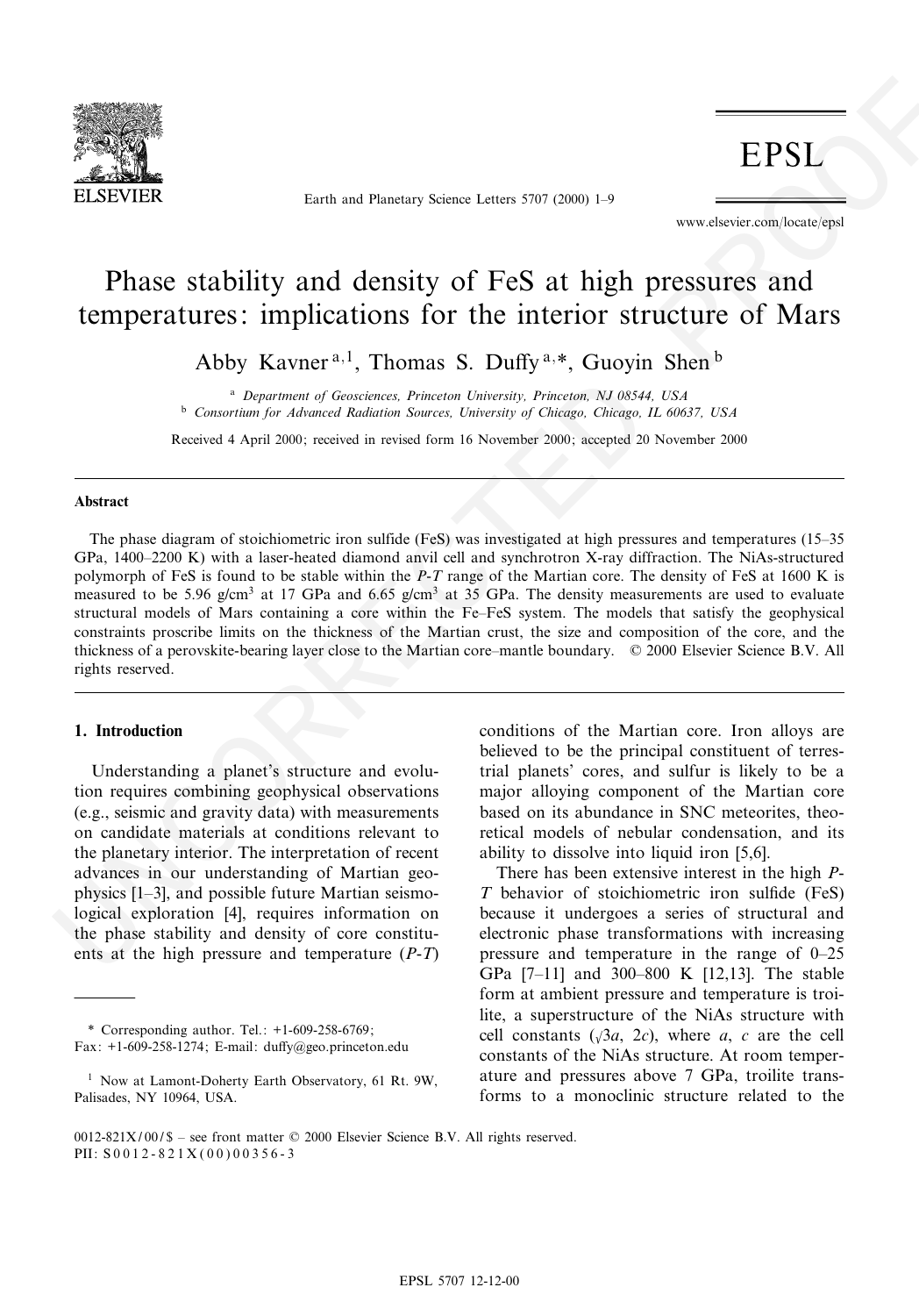

Earth and Planetary Science Letters 5707 (2000) 1-9

www.elsevier.com/locate/epsl

# Phase stability and density of FeS at high pressures and temperatures: implications for the interior structure of Mars

Abby Kavner<sup>a,1</sup>, Thomas S. Duffy<sup>a,\*</sup>, Guoyin Shen<sup>b</sup>

<sup>a</sup> Department of Geosciences, Princeton University, Princeton, NJ 08544, USA <sup>b</sup> Consortium for Advanced Radiation Sources, University of Chicago, Chicago, IL 60637, USA

Received 4 April 2000; received in revised form 16 November 2000; accepted 20 November 2000

#### Abstract

**EPSI.**<br>
Analysis of the state of the state of the state of the state of the state of the state of the state of the state of the state of the state of the state of the state of the state of the state of the state of the s The phase diagram of stoichiometric iron sulfide (FeS) was investigated at high pressures and temperatures (15–35 GPa, 1400-2200 K) with a laser-heated diamond anvil cell and synchrotron X-ray diffraction. The NiAs-structured polymorph of FeS is found to be stable within the P-T range of the Martian core. The density of FeS at 1600 K is measured to be 5.96 g/cm<sup>3</sup> at 17 GPa and 6.65 g/cm<sup>3</sup> at 35 GPa. The density measurements are used to evaluate structural models of Mars containing a core within the Fe^FeS system. The models that satisfy the geophysical constraints proscribe limits on the thickness of the Martian crust, the size and composition of the core, and the thickness of a perovskite-bearing layer close to the Martian core-mantle boundary.  $\heartsuit$  2000 Elsevier Science B.V. All rights reserved.

### 1. Introduction

Understanding a planet's structure and evolution requires combining geophysical observations (e.g., seismic and gravity data) with measurements on candidate materials at conditions relevant to the planetary interior. The interpretation of recent advances in our understanding of Martian geophysics  $[1-3]$ , and possible future Martian seismological exploration [4], requires information on the phase stability and density of core constituents at the high pressure and temperature (P-T)

\* Corresponding author. Tel.: +1-609-258-6769; Fax:  $+1$ -609-258-1274; E-mail: duffy@geo.princeton.edu conditions of the Martian core. Iron alloys are believed to be the principal constituent of terrestrial planets' cores, and sulfur is likely to be a major alloying component of the Martian core based on its abundance in SNC meteorites, theoretical models of nebular condensation, and its ability to dissolve into liquid iron [5,6].

There has been extensive interest in the high P- $T$  behavior of stoichiometric iron sulfide (FeS) because it undergoes a series of structural and electronic phase transformations with increasing pressure and temperature in the range of  $0-25$ GPa  $[7-11]$  and 300-800 K  $[12,13]$ . The stable form at ambient pressure and temperature is troilite, a superstructure of the NiAs structure with cell constants  $(\sqrt{3}a, 2c)$ , where a, c are the cell constants of the NiAs structure. At room temperature and pressures above 7 GPa, troilite transforms to a monoclinic structure related to the

<sup>&</sup>lt;sup>1</sup> Now at Lamont-Doherty Earth Observatory, 61 Rt. 9W, Palisades, NY 10964, USA.

 $0012-821X/00/S$  – see front matter  $\odot$  2000 Elsevier Science B.V. All rights reserved. PII:  $S 0 0 1 2 - 8 2 1 X (0 0) 0 0 3 5 6 - 3$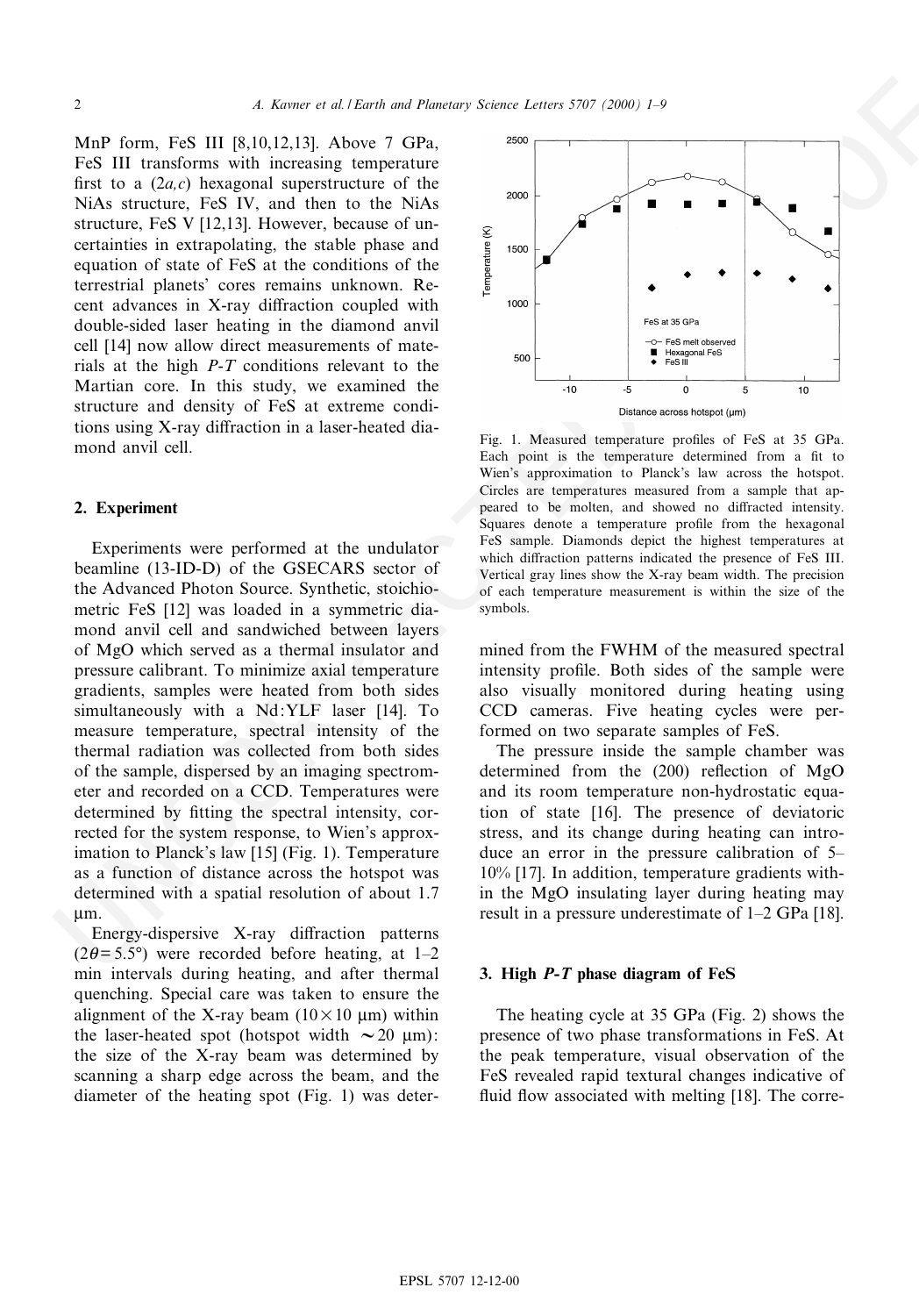MnP form, FeS III [8,10,12,13]. Above 7 GPa, FeS III transforms with increasing temperature first to a  $(2a,c)$  hexagonal superstructure of the NiAs structure, FeS IV, and then to the NiAs structure, FeS V [12,13]. However, because of uncertainties in extrapolating, the stable phase and equation of state of FeS at the conditions of the terrestrial planets' cores remains unknown. Recent advances in X-ray diffraction coupled with double-sided laser heating in the diamond anvil cell [14] now allow direct measurements of materials at the high  $P-T$  conditions relevant to the Martian core. In this study, we examined the structure and density of FeS at extreme conditions using  $X$ -ray diffraction in a laser-heated diamond anvil cell.

# 2. Experiment

Mar from Fig. 11 [8,10,12,13], Above 2 (174), and 18 methods are a set of the set of the set of the set of the set of the set of the set of the set of the set of the set of the set of the set of the set of the set of the Experiments were performed at the undulator beamline (13-ID-D) of the GSECARS sector of the Advanced Photon Source. Synthetic, stoichiometric FeS [12] was loaded in a symmetric diamond anvil cell and sandwiched between layers of MgO which served as a thermal insulator and pressure calibrant. To minimize axial temperature gradients, samples were heated from both sides simultaneously with a Nd:YLF laser [14]. To measure temperature, spectral intensity of the thermal radiation was collected from both sides of the sample, dispersed by an imaging spectrometer and recorded on a CCD. Temperatures were determined by fitting the spectral intensity, corrected for the system response, to Wien's approximation to Planck's law [15] (Fig. 1). Temperature as a function of distance across the hotspot was determined with a spatial resolution of about 1.7 Wm.

Energy-dispersive X-ray diffraction patterns  $(2\theta = 5.5^{\circ})$  were recorded before heating, at 1-2 min intervals during heating, and after thermal quenching. Special care was taken to ensure the alignment of the X-ray beam  $(10 \times 10 \mu m)$  within the laser-heated spot (hotspot width  $\sim 20$  µm): the size of the X-ray beam was determined by scanning a sharp edge across the beam, and the diameter of the heating spot (Fig. 1) was deter-



Fig. 1. Measured temperature profiles of FeS at 35 GPa. Each point is the temperature determined from a fit to Wien's approximation to Planck's law across the hotspot. Circles are temperatures measured from a sample that appeared to be molten, and showed no diffracted intensity. Squares denote a temperature profile from the hexagonal FeS sample. Diamonds depict the highest temperatures at which diffraction patterns indicated the presence of FeS III. Vertical gray lines show the X-ray beam width. The precision of each temperature measurement is within the size of the symbols.

mined from the FWHM of the measured spectral intensity profile. Both sides of the sample were also visually monitored during heating using CCD cameras. Five heating cycles were performed on two separate samples of FeS.

The pressure inside the sample chamber was determined from the  $(200)$  reflection of MgO and its room temperature non-hydrostatic equation of state [16]. The presence of deviatoric stress, and its change during heating can introduce an error in the pressure calibration of 5– 10% [17]. In addition, temperature gradients within the MgO insulating layer during heating may result in a pressure underestimate of 1^2 GPa [18].

# 3. High P-T phase diagram of FeS

The heating cycle at 35 GPa (Fig. 2) shows the presence of two phase transformations in FeS. At the peak temperature, visual observation of the FeS revealed rapid textural changes indicative of fluid flow associated with melting [18]. The corre-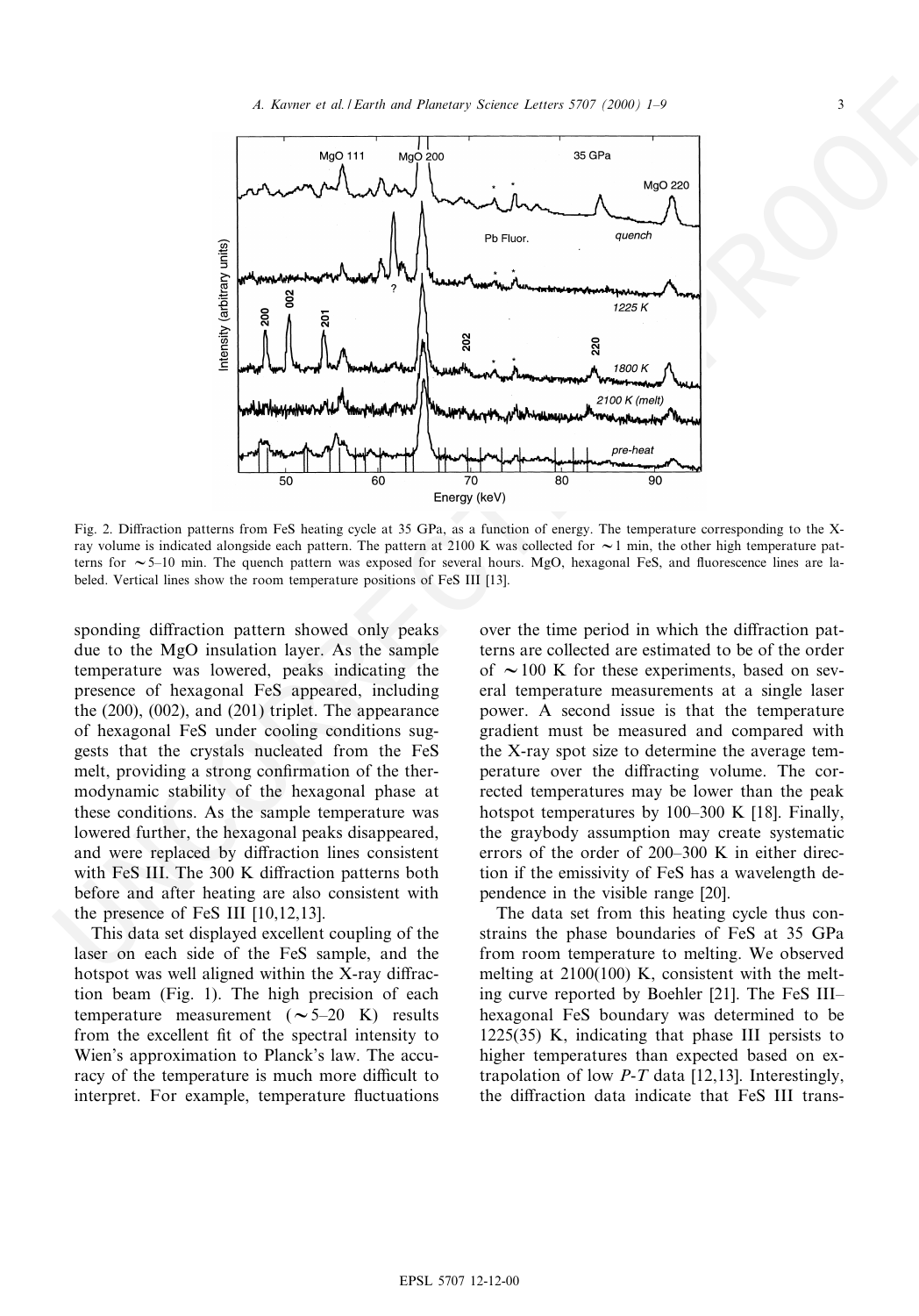

Fig. 2. Diffraction patterns from FeS heating cycle at 35 GPa, as a function of energy. The temperature corresponding to the Xray volume is indicated alongside each pattern. The pattern at 2100 K was collected for  $\sim$ 1 min, the other high temperature patterns for  $\sim$  5–10 min. The quench pattern was exposed for several hours. MgO, hexagonal FeS, and fluorescence lines are labeled. Vertical lines show the room temperature positions of FeS III [13].

sponding diffraction pattern showed only peaks due to the MgO insulation layer. As the sample temperature was lowered, peaks indicating the presence of hexagonal FeS appeared, including the (200), (002), and (201) triplet. The appearance of hexagonal FeS under cooling conditions suggests that the crystals nucleated from the FeS melt, providing a strong confirmation of the thermodynamic stability of the hexagonal phase at these conditions. As the sample temperature was lowered further, the hexagonal peaks disappeared, and were replaced by diffraction lines consistent with FeS III. The 300 K diffraction patterns both before and after heating are also consistent with the presence of FeS III [10,12,13].

This data set displayed excellent coupling of the laser on each side of the FeS sample, and the hotspot was well aligned within the X-ray diffraction beam (Fig. 1). The high precision of each temperature measurement  $({\sim}5{\text -}20$  K) results from the excellent fit of the spectral intensity to Wien's approximation to Planck's law. The accuracy of the temperature is much more difficult to interpret. For example, temperature fluctuations over the time period in which the diffraction patterns are collected are estimated to be of the order of  $\sim$  100 K for these experiments, based on several temperature measurements at a single laser power. A second issue is that the temperature gradient must be measured and compared with the X-ray spot size to determine the average temperature over the diffracting volume. The corrected temperatures may be lower than the peak hotspot temperatures by  $100-300$  K [18]. Finally, the graybody assumption may create systematic errors of the order of  $200-300$  K in either direction if the emissivity of FeS has a wavelength dependence in the visible range [20].

The data set from this heating cycle thus constrains the phase boundaries of FeS at 35 GPa from room temperature to melting. We observed melting at 2100(100) K, consistent with the melting curve reported by Boehler [21]. The FeS IIIhexagonal FeS boundary was determined to be 1225(35) K, indicating that phase III persists to higher temperatures than expected based on extrapolation of low  $P-T$  data [12,13]. Interestingly, the diffraction data indicate that FeS III trans-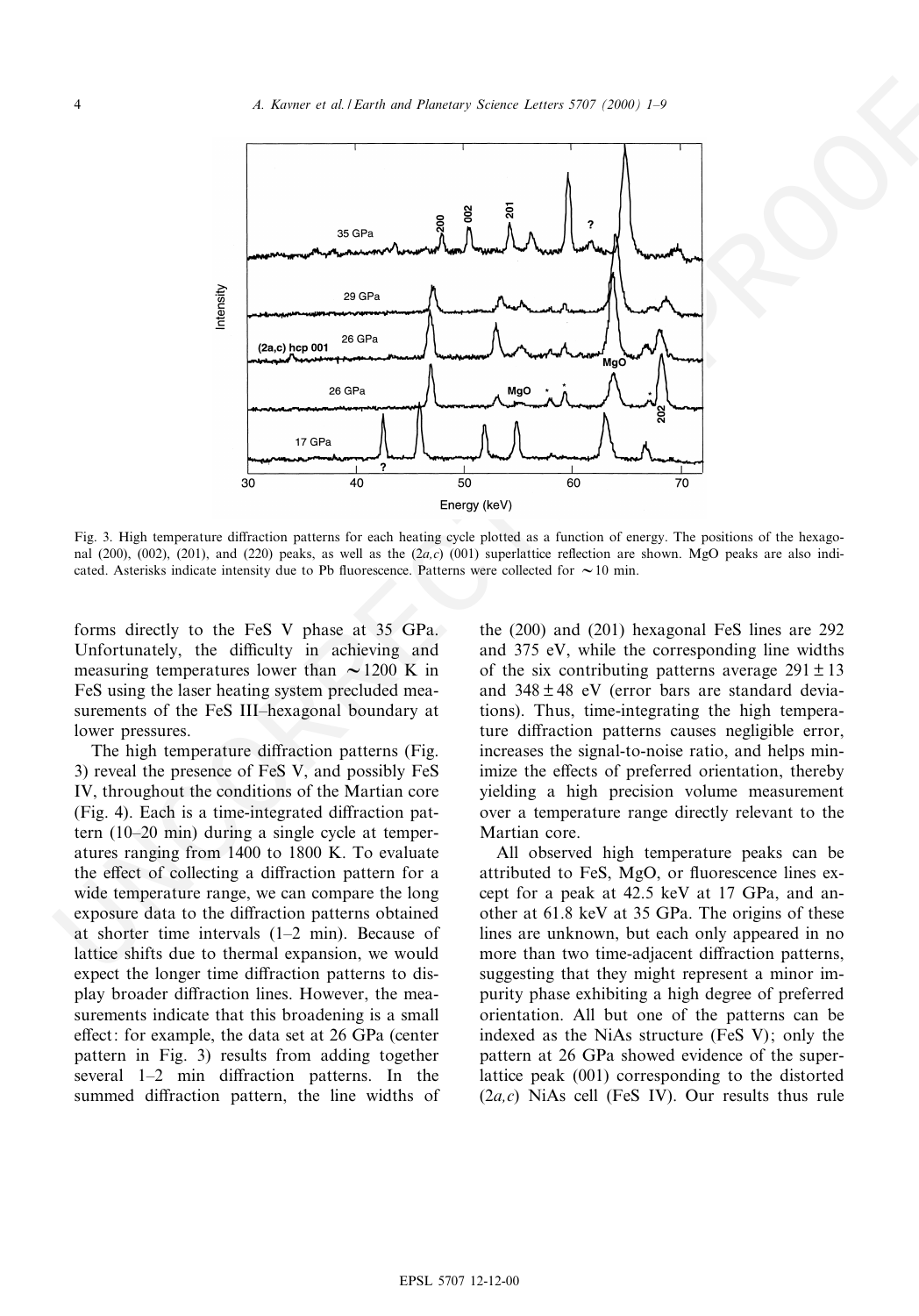

Fig. 3. High temperature diffraction patterns for each heating cycle plotted as a function of energy. The positions of the hexagonal (200), (002), (201), and (220) peaks, as well as the  $(2a,c)$  (001) superlattice reflection are shown. MgO peaks are also indicated. Asterisks indicate intensity due to Pb fluorescence. Patterns were collected for  $\sim$  10 min.

forms directly to the FeS V phase at 35 GPa. Unfortunately, the difficulty in achieving and measuring temperatures lower than  $\sim$  1200 K in FeS using the laser heating system precluded measurements of the FeS III-hexagonal boundary at lower pressures.

The high temperature diffraction patterns (Fig. 3) reveal the presence of FeS V, and possibly FeS IV, throughout the conditions of the Martian core (Fig. 4). Each is a time-integrated diffraction pattern  $(10-20 \text{ min})$  during a single cycle at temperatures ranging from 1400 to 1800 K. To evaluate the effect of collecting a diffraction pattern for a wide temperature range, we can compare the long exposure data to the diffraction patterns obtained at shorter time intervals  $(1-2 \text{ min})$ . Because of lattice shifts due to thermal expansion, we would expect the longer time diffraction patterns to display broader diffraction lines. However, the measurements indicate that this broadening is a small effect: for example, the data set at 26 GPa (center pattern in Fig. 3) results from adding together several  $1-2$  min diffraction patterns. In the summed diffraction pattern, the line widths of

the (200) and (201) hexagonal FeS lines are 292 and 375 eV, while the corresponding line widths of the six contributing patterns average  $291 \pm 13$ and  $348 \pm 48$  eV (error bars are standard deviations). Thus, time-integrating the high temperature diffraction patterns causes negligible error, increases the signal-to-noise ratio, and helps minimize the effects of preferred orientation, thereby yielding a high precision volume measurement over a temperature range directly relevant to the Martian core.

All observed high temperature peaks can be attributed to FeS, MgO, or fluorescence lines except for a peak at 42.5 keV at 17 GPa, and another at 61.8 keV at 35 GPa. The origins of these lines are unknown, but each only appeared in no more than two time-adjacent diffraction patterns, suggesting that they might represent a minor impurity phase exhibiting a high degree of preferred orientation. All but one of the patterns can be indexed as the NiAs structure (FeS V); only the pattern at 26 GPa showed evidence of the superlattice peak (001) corresponding to the distorted  $(2a,c)$  NiAs cell (FeS IV). Our results thus rule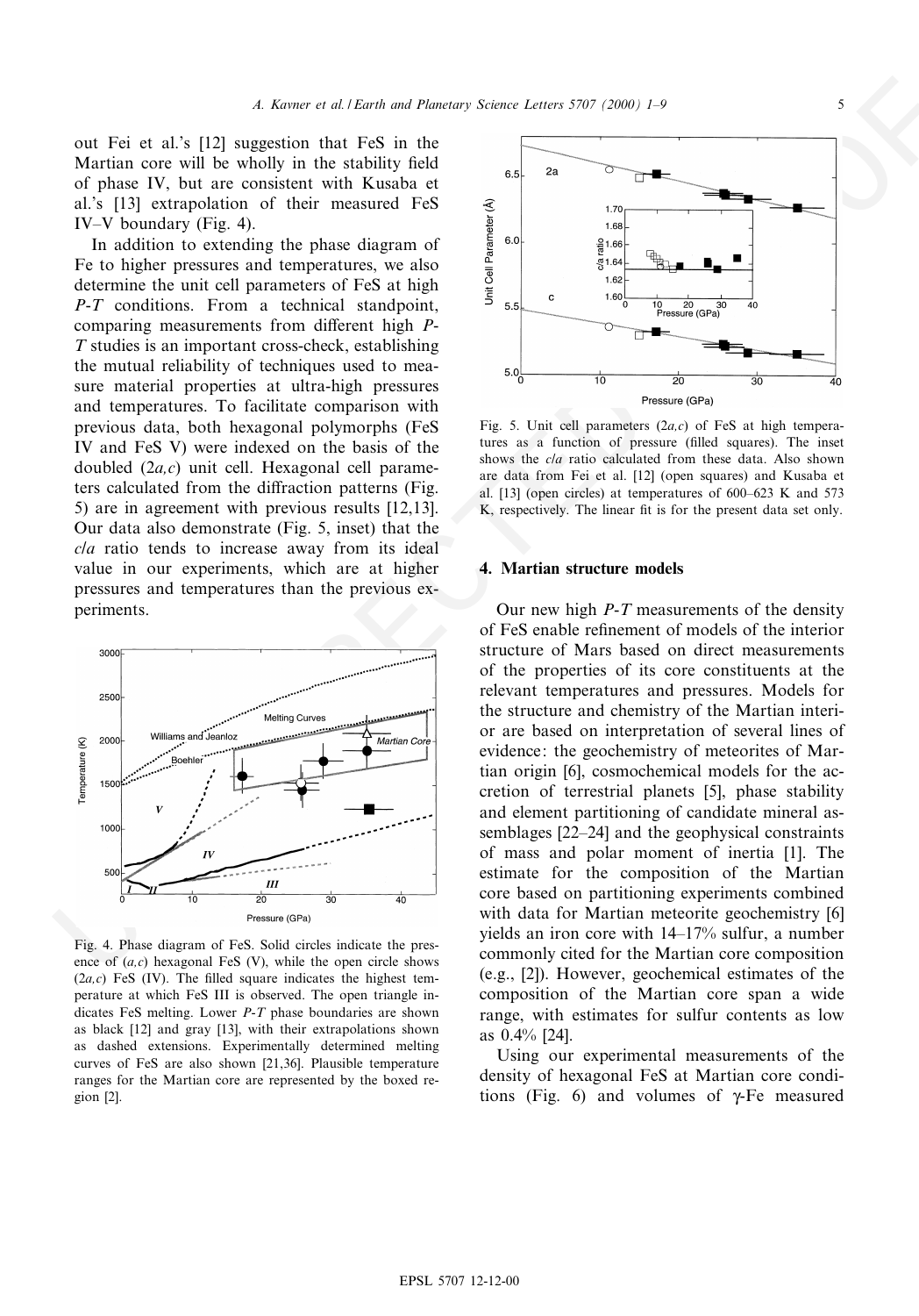out Fei et al.'s [12] suggestion that FeS in the Martian core will be wholly in the stability field of phase IV, but are consistent with Kusaba et al.'s [13] extrapolation of their measured FeS IV-V boundary (Fig. 4).

out Fed al. 35, 1222 supplementaris and temperature and solid by the animal state of the second in the second in the second in the second in the second in the second in the second in the second in the second in the second In addition to extending the phase diagram of Fe to higher pressures and temperatures, we also determine the unit cell parameters of FeS at high P-T conditions. From a technical standpoint, comparing measurements from different high  $P$ -T studies is an important cross-check, establishing the mutual reliability of techniques used to measure material properties at ultra-high pressures and temperatures. To facilitate comparison with previous data, both hexagonal polymorphs (FeS IV and FeS V) were indexed on the basis of the doubled  $(2a,c)$  unit cell. Hexagonal cell parameters calculated from the diffraction patterns (Fig. 5) are in agreement with previous results [12,13]. Our data also demonstrate (Fig. 5, inset) that the c/a ratio tends to increase away from its ideal value in our experiments, which are at higher pressures and temperatures than the previous experiments.



Fig. 4. Phase diagram of FeS. Solid circles indicate the presence of  $(a, c)$  hexagonal FeS (V), while the open circle shows  $(2a,c)$  FeS (IV). The filled square indicates the highest temperature at which FeS III is observed. The open triangle indicates FeS melting. Lower P-T phase boundaries are shown as black [12] and gray [13], with their extrapolations shown as dashed extensions. Experimentally determined melting curves of FeS are also shown [21,36]. Plausible temperature ranges for the Martian core are represented by the boxed region [2].



Fig. 5. Unit cell parameters  $(2a,c)$  of FeS at high temperatures as a function of pressure (filled squares). The inset shows the c/a ratio calculated from these data. Also shown are data from Fei et al. [12] (open squares) and Kusaba et al.  $[13]$  (open circles) at temperatures of 600–623 K and 573 K, respectively. The linear fit is for the present data set only.

# 4. Martian structure models

Our new high  $P-T$  measurements of the density of FeS enable re¢nement of models of the interior structure of Mars based on direct measurements of the properties of its core constituents at the relevant temperatures and pressures. Models for the structure and chemistry of the Martian interior are based on interpretation of several lines of evidence: the geochemistry of meteorites of Martian origin [6], cosmochemical models for the accretion of terrestrial planets [5], phase stability and element partitioning of candidate mineral assemblages  $[22-24]$  and the geophysical constraints of mass and polar moment of inertia [1]. The estimate for the composition of the Martian core based on partitioning experiments combined with data for Martian meteorite geochemistry [6] yields an iron core with 14^17% sulfur, a number commonly cited for the Martian core composition (e.g., [2]). However, geochemical estimates of the composition of the Martian core span a wide range, with estimates for sulfur contents as low as 0.4% [24].

Using our experimental measurements of the density of hexagonal FeS at Martian core conditions (Fig. 6) and volumes of  $\gamma$ -Fe measured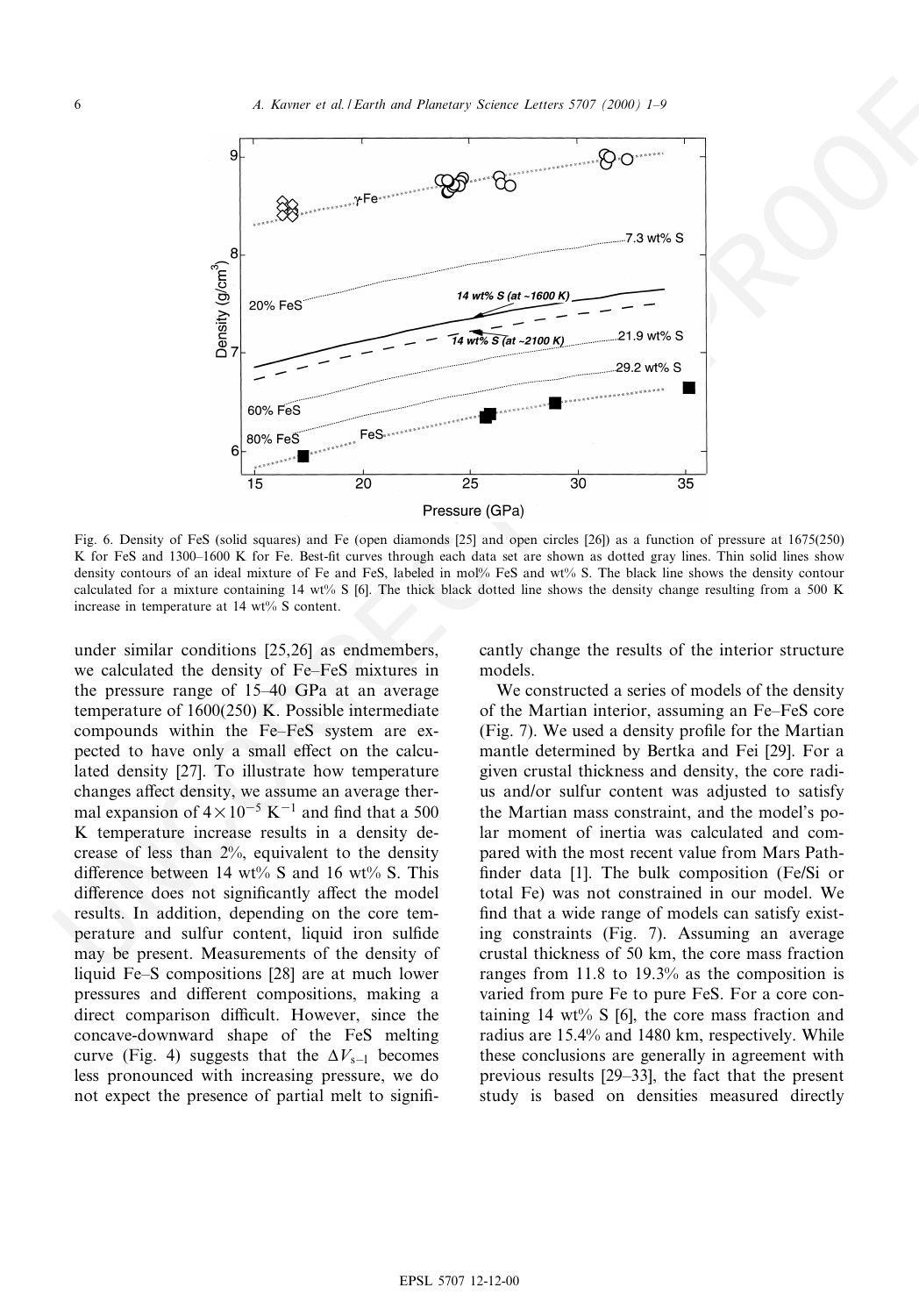

Fig. 6. Density of FeS (solid squares) and Fe (open diamonds [25] and open circles [26]) as a function of pressure at 1675(250) K for FeS and 1300-1600 K for Fe. Best-fit curves through each data set are shown as dotted gray lines. Thin solid lines show density contours of an ideal mixture of Fe and FeS, labeled in mol% FeS and wt% S. The black line shows the density contour calculated for a mixture containing 14 wt% S [6]. The thick black dotted line shows the density change resulting from a 500 K increase in temperature at 14 wt% S content.

under similar conditions [25,26] as endmembers, we calculated the density of Fe–FeS mixtures in the pressure range of 15^40 GPa at an average temperature of 1600(250) K. Possible intermediate compounds within the Fe^FeS system are expected to have only a small effect on the calculated density [27]. To illustrate how temperature changes affect density, we assume an average thermal expansion of  $4 \times 10^{-5}$  K<sup>-1</sup> and find that a 500 K temperature increase results in a density decrease of less than 2%, equivalent to the density difference between 14 wt% S and 16 wt% S. This difference does not significantly affect the model results. In addition, depending on the core temperature and sulfur content, liquid iron sulfide may be present. Measurements of the density of liquid Fe-S compositions [28] are at much lower pressures and different compositions, making a direct comparison difficult. However, since the concave-downward shape of the FeS melting curve (Fig. 4) suggests that the  $\Delta V_{s-1}$  becomes less pronounced with increasing pressure, we do not expect the presence of partial melt to significantly change the results of the interior structure models.

We constructed a series of models of the density of the Martian interior, assuming an Fe^FeS core (Fig. 7). We used a density profile for the Martian mantle determined by Bertka and Fei [29]. For a given crustal thickness and density, the core radius and/or sulfur content was adjusted to satisfy the Martian mass constraint, and the model's polar moment of inertia was calculated and compared with the most recent value from Mars Path finder data [1]. The bulk composition (Fe/Si or total Fe) was not constrained in our model. We find that a wide range of models can satisfy existing constraints (Fig. 7). Assuming an average crustal thickness of 50 km, the core mass fraction ranges from 11.8 to 19.3% as the composition is varied from pure Fe to pure FeS. For a core containing 14 wt% S [6], the core mass fraction and radius are 15.4% and 1480 km, respectively. While these conclusions are generally in agreement with previous results [29^33], the fact that the present study is based on densities measured directly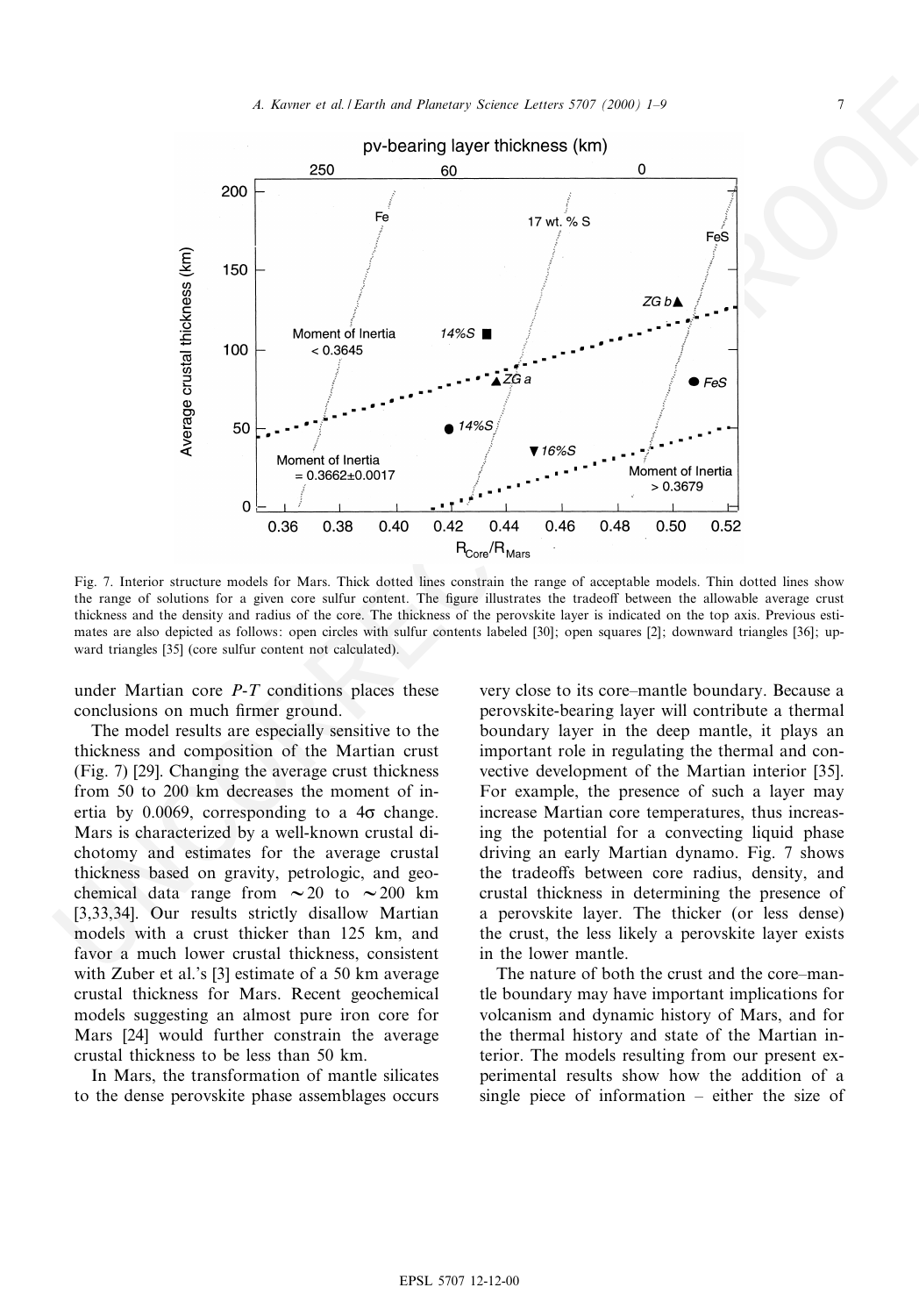

Fig. 7. Interior structure models for Mars. Thick dotted lines constrain the range of acceptable models. Thin dotted lines show the range of solutions for a given core sulfur content. The figure illustrates the tradeoff between the allowable average crust thickness and the density and radius of the core. The thickness of the perovskite layer is indicated on the top axis. Previous estimates are also depicted as follows: open circles with sulfur contents labeled [30]; open squares [2]; downward triangles [36]; upward triangles [35] (core sulfur content not calculated).

under Martian core P-T conditions places these conclusions on much firmer ground.

The model results are especially sensitive to the thickness and composition of the Martian crust (Fig. 7) [29]. Changing the average crust thickness from 50 to 200 km decreases the moment of inertia by 0.0069, corresponding to a  $4\sigma$  change. Mars is characterized by a well-known crustal dichotomy and estimates for the average crustal thickness based on gravity, petrologic, and geochemical data range from  $\sim 20$  to  $\sim 200$  km [3,33,34]. Our results strictly disallow Martian models with a crust thicker than 125 km, and favor a much lower crustal thickness, consistent with Zuber et al.'s [3] estimate of a 50 km average crustal thickness for Mars. Recent geochemical models suggesting an almost pure iron core for Mars [24] would further constrain the average crustal thickness to be less than 50 km.

In Mars, the transformation of mantle silicates to the dense perovskite phase assemblages occurs

very close to its core^mantle boundary. Because a perovskite-bearing layer will contribute a thermal boundary layer in the deep mantle, it plays an important role in regulating the thermal and convective development of the Martian interior [35]. For example, the presence of such a layer may increase Martian core temperatures, thus increasing the potential for a convecting liquid phase driving an early Martian dynamo. Fig. 7 shows the tradeoffs between core radius, density, and crustal thickness in determining the presence of a perovskite layer. The thicker (or less dense) the crust, the less likely a perovskite layer exists in the lower mantle.

The nature of both the crust and the core–mantle boundary may have important implications for volcanism and dynamic history of Mars, and for the thermal history and state of the Martian interior. The models resulting from our present experimental results show how the addition of a single piece of information  $-$  either the size of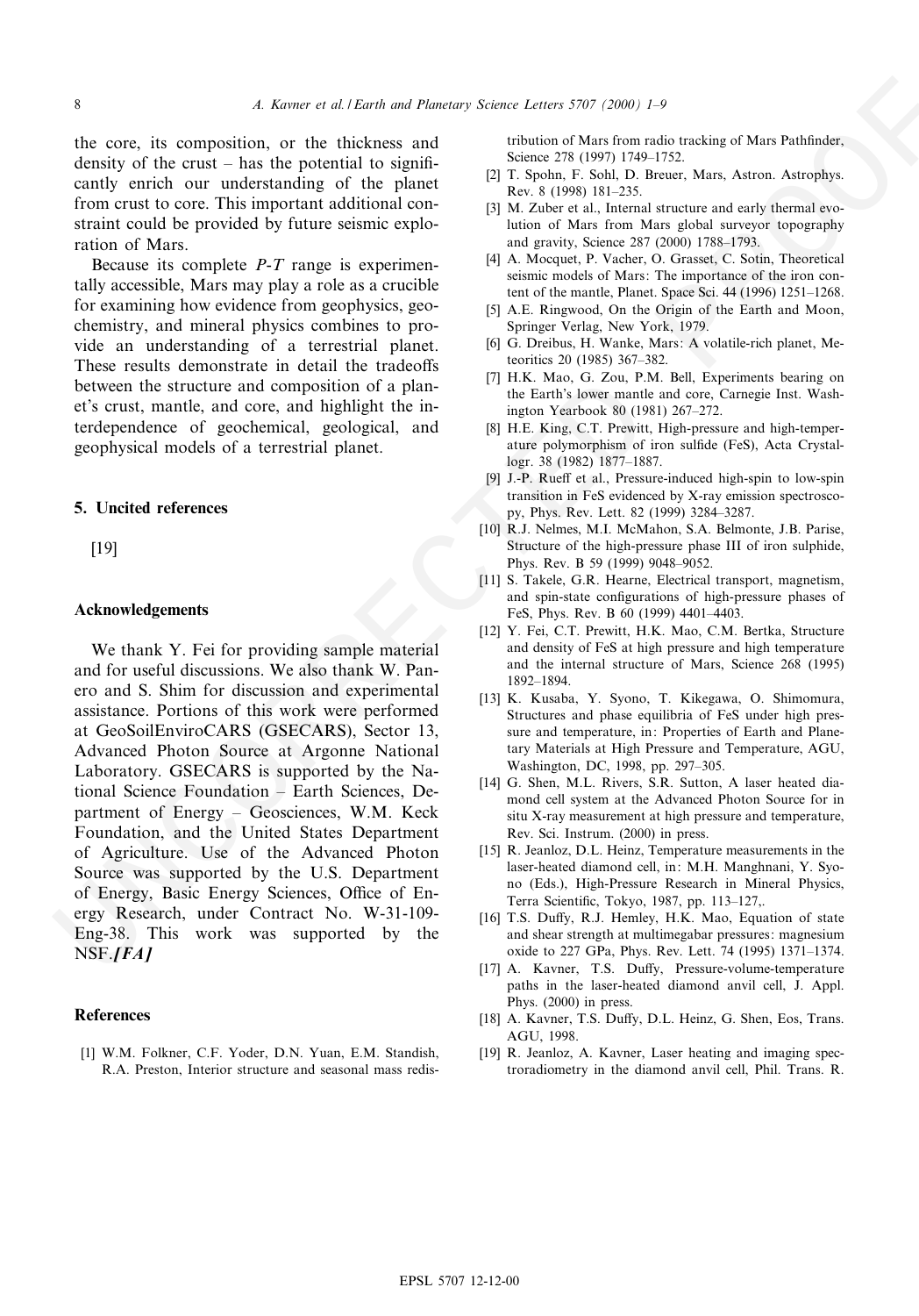the core, its composition, or the thickness and density of the crust  $-$  has the potential to significantly enrich our understanding of the planet from crust to core. This important additional constraint could be provided by future seismic exploration of Mars.

Because its complete  $P-T$  range is experimentally accessible, Mars may play a role as a crucible for examining how evidence from geophysics, geochemistry, and mineral physics combines to provide an understanding of a terrestrial planet. These results demonstrate in detail the tradeoffs between the structure and composition of a planet's crust, mantle, and core, and highlight the interdependence of geochemical, geological, and geophysical models of a terrestrial planet.

### 5. Uncited references

[19]

#### Acknowledgements

the core, its composition of the thickness and principal and the space of the particular control in the space of the particular control in the space of the particular control in the space of the particular control in the We thank Y. Fei for providing sample material and for useful discussions. We also thank W. Panero and S. Shim for discussion and experimental assistance. Portions of this work were performed at GeoSoilEnviroCARS (GSECARS), Sector 13, Advanced Photon Source at Argonne National Laboratory. GSECARS is supported by the National Science Foundation ^ Earth Sciences, Department of Energy - Geosciences, W.M. Keck Foundation, and the United States Department of Agriculture. Use of the Advanced Photon Source was supported by the U.S. Department of Energy, Basic Energy Sciences, Office of Energy Research, under Contract No. W-31-109- Eng-38. This work was supported by the  $NSF. [FA]$ 

#### References

[1] W.M. Folkner, C.F. Yoder, D.N. Yuan, E.M. Standish, R.A. Preston, Interior structure and seasonal mass redistribution of Mars from radio tracking of Mars Pathfinder, Science 278 (1997) 1749-1752.

- [2] T. Spohn, F. Sohl, D. Breuer, Mars, Astron. Astrophys. Rev. 8 (1998) 181-235.
- [3] M. Zuber et al., Internal structure and early thermal evolution of Mars from Mars global surveyor topography and gravity, Science 287 (2000) 1788^1793.
- [4] A. Mocquet, P. Vacher, O. Grasset, C. Sotin, Theoretical seismic models of Mars: The importance of the iron content of the mantle, Planet. Space Sci. 44 (1996) 1251^1268.
- [5] A.E. Ringwood, On the Origin of the Earth and Moon, Springer Verlag, New York, 1979.
- [6] G. Dreibus, H. Wanke, Mars: A volatile-rich planet, Meteoritics 20 (1985) 367-382.
- [7] H.K. Mao, G. Zou, P.M. Bell, Experiments bearing on the Earth's lower mantle and core, Carnegie Inst. Washington Yearbook 80 (1981) 267^272.
- [8] H.E. King, C.T. Prewitt, High-pressure and high-temperature polymorphism of iron sulfide (FeS), Acta Crystallogr. 38 (1982) 1877-1887.
- [9] J.-P. Rueff et al., Pressure-induced high-spin to low-spin transition in FeS evidenced by X-ray emission spectroscopy, Phys. Rev. Lett. 82 (1999) 3284^3287.
- [10] R.J. Nelmes, M.I. McMahon, S.A. Belmonte, J.B. Parise, Structure of the high-pressure phase III of iron sulphide, Phys. Rev. B 59 (1999) 9048-9052.
- [11] S. Takele, G.R. Hearne, Electrical transport, magnetism, and spin-state configurations of high-pressure phases of FeS, Phys. Rev. B 60 (1999) 4401-4403.
- [12] Y. Fei, C.T. Prewitt, H.K. Mao, C.M. Bertka, Structure and density of FeS at high pressure and high temperature and the internal structure of Mars, Science 268 (1995) 1892^1894.
- [13] K. Kusaba, Y. Syono, T. Kikegawa, O. Shimomura, Structures and phase equilibria of FeS under high pressure and temperature, in: Properties of Earth and Planetary Materials at High Pressure and Temperature, AGU, Washington, DC, 1998, pp. 297-305.
- [14] G. Shen, M.L. Rivers, S.R. Sutton, A laser heated diamond cell system at the Advanced Photon Source for in situ X-ray measurement at high pressure and temperature, Rev. Sci. Instrum. (2000) in press.
- [15] R. Jeanloz, D.L. Heinz, Temperature measurements in the laser-heated diamond cell, in: M.H. Manghnani, Y. Syono (Eds.), High-Pressure Research in Mineral Physics, Terra Scientific, Tokyo, 1987, pp. 113-127,.
- [16] T.S. Duffy, R.J. Hemley, H.K. Mao, Equation of state and shear strength at multimegabar pressures: magnesium oxide to 227 GPa, Phys. Rev. Lett. 74 (1995) 1371^1374.
- [17] A. Kavner, T.S. Duffy, Pressure-volume-temperature paths in the laser-heated diamond anvil cell, J. Appl. Phys. (2000) in press.
- [18] A. Kavner, T.S. Duffy, D.L. Heinz, G. Shen, Eos, Trans. AGU, 1998.
- [19] R. Jeanloz, A. Kavner, Laser heating and imaging spectroradiometry in the diamond anvil cell, Phil. Trans. R.